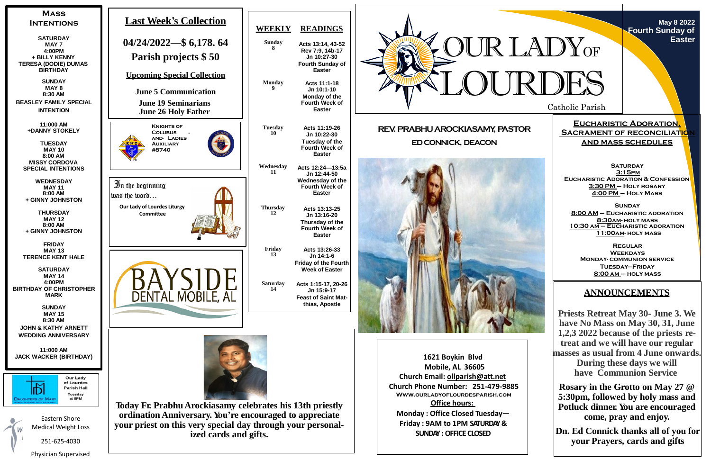Catholic Parish

**May 8 2022 Fourth Sunday of Easter**

**Eucharistic Adoration, SACRAMENT OF RECONCILIATION and mass schedules**

**SATURDAY 3:15pm Eucharistic Adoration & Confession 3:30 PM – Holy rosary 4:00 PM – Holy Mass**

**Sunday 8:00 AM – Eucharistic adoration 8:30am- holy mass 10:30 am – Eucharistic adoration 11:00am- holy mass**

**Regular Weekdays Monday- communion service Tuesday—Friday 8:00 am – holy mass**



# **ANNOUNCEMENTS**

**Priests Retreat May 30- June 3. We have No Mass on May 30, 31, June 1,2,3 2022 because of the priests retreat and we will have our regular masses as usual from 4 June onwards. During these days we will have Communion Service**

**Rosary in the Grotto on May 27 @ 5:30pm, followed by holy mass and Potluck dinner. You are encouraged come, pray and enjoy.**

**Dn. Ed Connick thanks all of you for your Prayers, cards and gifts**